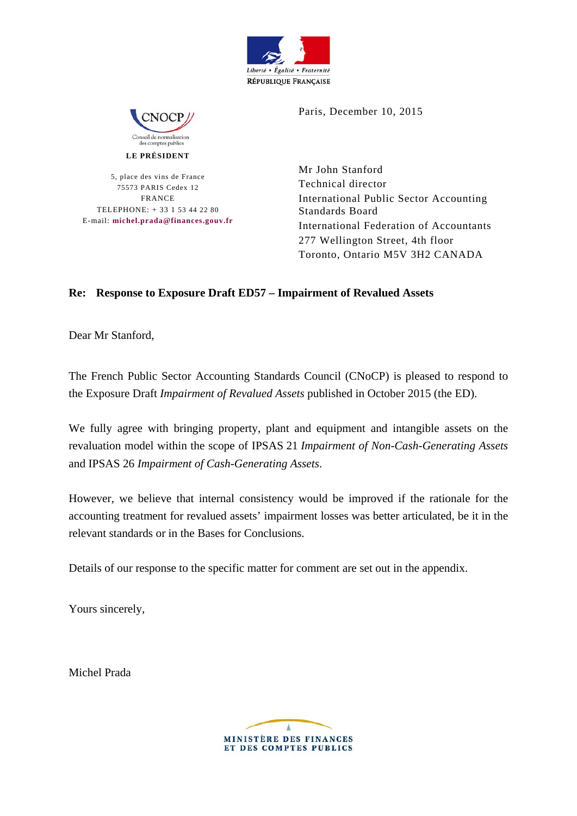



**LE PRÉSIDENT** 

5, place des vins de France 75573 PARIS Cedex 12 FRANCE TELEPHONE: + 33 1 53 44 22 80 E-mail: **michel.prada@finances.gouv.fr** Paris, December 10, 2015

Mr John Stanford Technical director International Public Sector Accounting Standards Board International Federation of Accountants 277 Wellington Street, 4th floor Toronto, Ontario M5V 3H2 CANADA

## **Re: Response to Exposure Draft ED57 – Impairment of Revalued Assets**

Dear Mr Stanford,

The French Public Sector Accounting Standards Council (CNoCP) is pleased to respond to the Exposure Draft *Impairment of Revalued Assets* published in October 2015 (the ED).

We fully agree with bringing property, plant and equipment and intangible assets on the revaluation model within the scope of IPSAS 21 *Impairment of Non-Cash-Generating Assets* and IPSAS 26 *Impairment of Cash-Generating Assets*.

However, we believe that internal consistency would be improved if the rationale for the accounting treatment for revalued assets' impairment losses was better articulated, be it in the relevant standards or in the Bases for Conclusions.

Details of our response to the specific matter for comment are set out in the appendix.

Yours sincerely,

Michel Prada